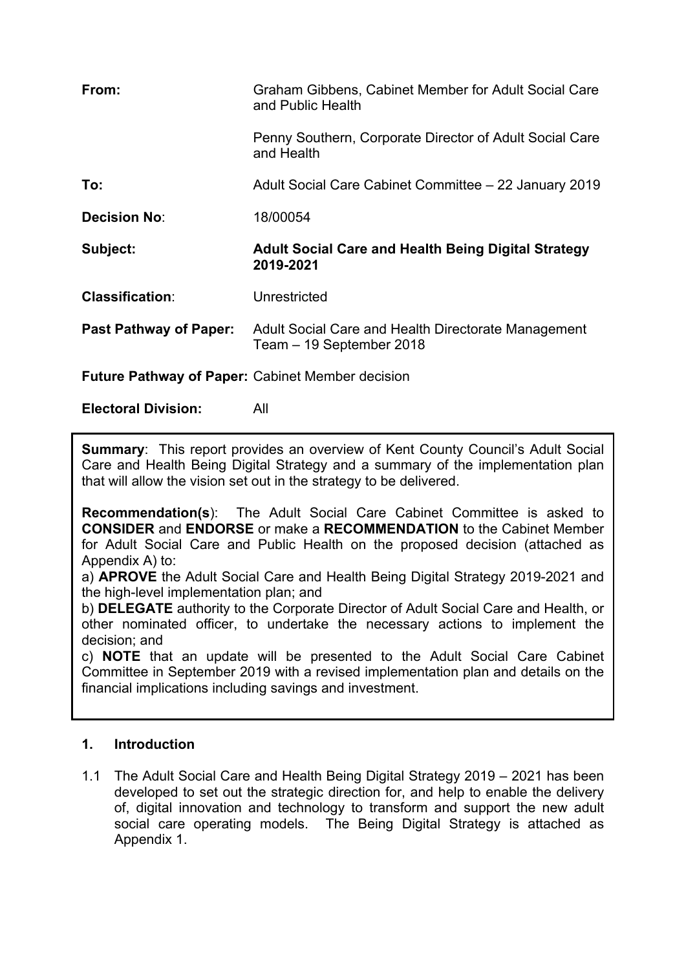| From:                         | Graham Gibbens, Cabinet Member for Adult Social Care<br>and Public Health       |  |
|-------------------------------|---------------------------------------------------------------------------------|--|
|                               | Penny Southern, Corporate Director of Adult Social Care<br>and Health           |  |
| To:                           | Adult Social Care Cabinet Committee - 22 January 2019                           |  |
| <b>Decision No:</b>           | 18/00054                                                                        |  |
|                               |                                                                                 |  |
| Subject:                      | <b>Adult Social Care and Health Being Digital Strategy</b><br>2019-2021         |  |
| <b>Classification:</b>        | Unrestricted                                                                    |  |
| <b>Past Pathway of Paper:</b> | Adult Social Care and Health Directorate Management<br>Team – 19 September 2018 |  |

**Electoral Division:** All

**Summary:** This report provides an overview of Kent County Council's Adult Social Care and Health Being Digital Strategy and a summary of the implementation plan that will allow the vision set out in the strategy to be delivered.

**Recommendation(s**): The Adult Social Care Cabinet Committee is asked to **CONSIDER** and **ENDORSE** or make a **RECOMMENDATION** to the Cabinet Member for Adult Social Care and Public Health on the proposed decision (attached as Appendix A) to:

a) **APROVE** the Adult Social Care and Health Being Digital Strategy 2019-2021 and the high-level implementation plan; and

b) **DELEGATE** authority to the Corporate Director of Adult Social Care and Health, or other nominated officer, to undertake the necessary actions to implement the decision; and

c) **NOTE** that an update will be presented to the Adult Social Care Cabinet Committee in September 2019 with a revised implementation plan and details on the financial implications including savings and investment.

## **1. Introduction**

1.1 The Adult Social Care and Health Being Digital Strategy 2019 – 2021 has been developed to set out the strategic direction for, and help to enable the delivery of, digital innovation and technology to transform and support the new adult social care operating models. The Being Digital Strategy is attached as Appendix 1.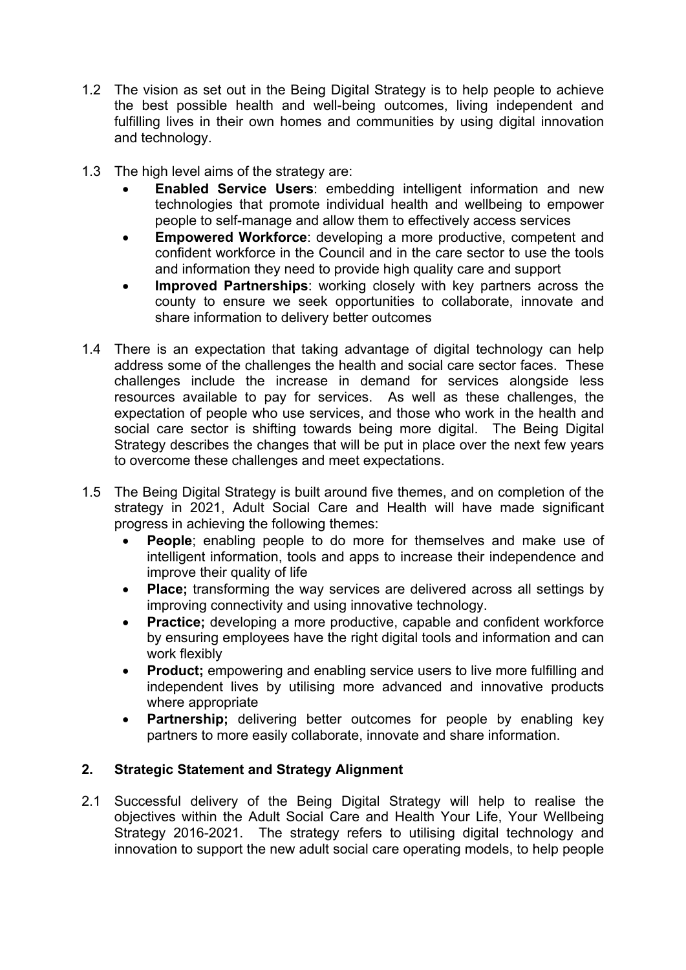- 1.2 The vision as set out in the Being Digital Strategy is to help people to achieve the best possible health and well-being outcomes, living independent and fulfilling lives in their own homes and communities by using digital innovation and technology.
- 1.3 The high level aims of the strategy are:
	- **Enabled Service Users**: embedding intelligent information and new technologies that promote individual health and wellbeing to empower people to self-manage and allow them to effectively access services
	- **Empowered Workforce**: developing a more productive, competent and confident workforce in the Council and in the care sector to use the tools and information they need to provide high quality care and support
	- **Improved Partnerships**: working closely with key partners across the county to ensure we seek opportunities to collaborate, innovate and share information to delivery better outcomes
- 1.4 There is an expectation that taking advantage of digital technology can help address some of the challenges the health and social care sector faces. These challenges include the increase in demand for services alongside less resources available to pay for services. As well as these challenges, the expectation of people who use services, and those who work in the health and social care sector is shifting towards being more digital. The Being Digital Strategy describes the changes that will be put in place over the next few years to overcome these challenges and meet expectations.
- 1.5 The Being Digital Strategy is built around five themes, and on completion of the strategy in 2021, Adult Social Care and Health will have made significant progress in achieving the following themes:
	- **People**; enabling people to do more for themselves and make use of intelligent information, tools and apps to increase their independence and improve their quality of life
	- **Place;** transforming the way services are delivered across all settings by improving connectivity and using innovative technology.
	- **Practice;** developing a more productive, capable and confident workforce by ensuring employees have the right digital tools and information and can work flexibly
	- **Product;** empowering and enabling service users to live more fulfilling and independent lives by utilising more advanced and innovative products where appropriate
	- **Partnership;** delivering better outcomes for people by enabling key partners to more easily collaborate, innovate and share information.

## **2. Strategic Statement and Strategy Alignment**

2.1 Successful delivery of the Being Digital Strategy will help to realise the objectives within the Adult Social Care and Health Your Life, Your Wellbeing Strategy 2016-2021. The strategy refers to utilising digital technology and innovation to support the new adult social care operating models, to help people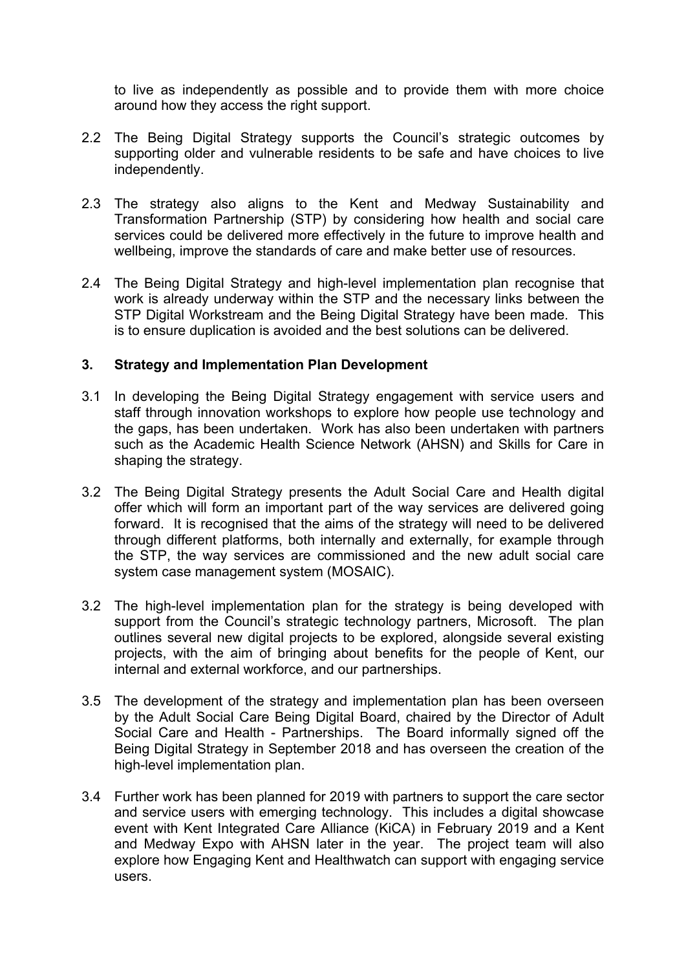to live as independently as possible and to provide them with more choice around how they access the right support.

- 2.2 The Being Digital Strategy supports the Council's strategic outcomes by supporting older and vulnerable residents to be safe and have choices to live independently.
- 2.3 The strategy also aligns to the Kent and Medway Sustainability and Transformation Partnership (STP) by considering how health and social care services could be delivered more effectively in the future to improve health and wellbeing, improve the standards of care and make better use of resources.
- 2.4 The Being Digital Strategy and high-level implementation plan recognise that work is already underway within the STP and the necessary links between the STP Digital Workstream and the Being Digital Strategy have been made. This is to ensure duplication is avoided and the best solutions can be delivered.

### **3. Strategy and Implementation Plan Development**

- 3.1 In developing the Being Digital Strategy engagement with service users and staff through innovation workshops to explore how people use technology and the gaps, has been undertaken. Work has also been undertaken with partners such as the Academic Health Science Network (AHSN) and Skills for Care in shaping the strategy.
- 3.2 The Being Digital Strategy presents the Adult Social Care and Health digital offer which will form an important part of the way services are delivered going forward. It is recognised that the aims of the strategy will need to be delivered through different platforms, both internally and externally, for example through the STP, the way services are commissioned and the new adult social care system case management system (MOSAIC).
- 3.2 The high-level implementation plan for the strategy is being developed with support from the Council's strategic technology partners, Microsoft. The plan outlines several new digital projects to be explored, alongside several existing projects, with the aim of bringing about benefits for the people of Kent, our internal and external workforce, and our partnerships.
- 3.5 The development of the strategy and implementation plan has been overseen by the Adult Social Care Being Digital Board, chaired by the Director of Adult Social Care and Health - Partnerships. The Board informally signed off the Being Digital Strategy in September 2018 and has overseen the creation of the high-level implementation plan.
- 3.4 Further work has been planned for 2019 with partners to support the care sector and service users with emerging technology. This includes a digital showcase event with Kent Integrated Care Alliance (KiCA) in February 2019 and a Kent and Medway Expo with AHSN later in the year. The project team will also explore how Engaging Kent and Healthwatch can support with engaging service users.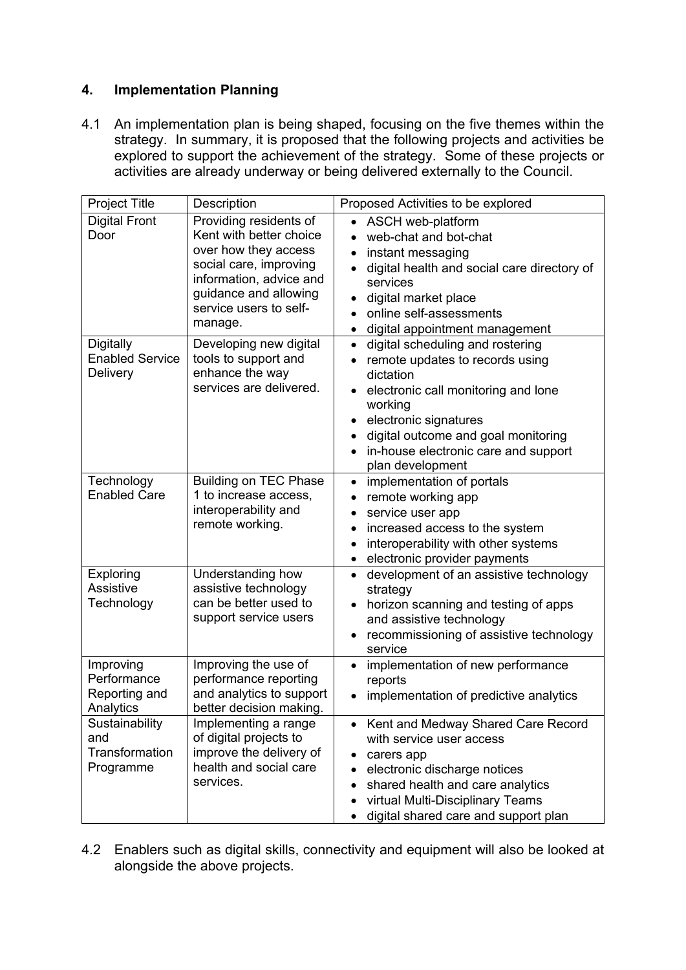# **4. Implementation Planning**

4.1 An implementation plan is being shaped, focusing on the five themes within the strategy. In summary, it is proposed that the following projects and activities be explored to support the achievement of the strategy. Some of these projects or activities are already underway or being delivered externally to the Council.

| <b>Project Title</b>                                   | Description                                                                                                                                                                                  | Proposed Activities to be explored                                                                                                                                                                                                                                          |
|--------------------------------------------------------|----------------------------------------------------------------------------------------------------------------------------------------------------------------------------------------------|-----------------------------------------------------------------------------------------------------------------------------------------------------------------------------------------------------------------------------------------------------------------------------|
| <b>Digital Front</b><br>Door                           | Providing residents of<br>Kent with better choice<br>over how they access<br>social care, improving<br>information, advice and<br>guidance and allowing<br>service users to self-<br>manage. | ASCH web-platform<br>web-chat and bot-chat<br>instant messaging<br>digital health and social care directory of<br>services<br>digital market place<br>online self-assessments<br>digital appointment management<br>$\bullet$                                                |
| <b>Digitally</b><br><b>Enabled Service</b><br>Delivery | Developing new digital<br>tools to support and<br>enhance the way<br>services are delivered.                                                                                                 | digital scheduling and rostering<br>$\bullet$<br>remote updates to records using<br>dictation<br>electronic call monitoring and lone<br>working<br>electronic signatures<br>digital outcome and goal monitoring<br>in-house electronic care and support<br>plan development |
| Technology<br><b>Enabled Care</b>                      | <b>Building on TEC Phase</b><br>1 to increase access,<br>interoperability and<br>remote working.                                                                                             | implementation of portals<br>$\bullet$<br>remote working app<br>service user app<br>$\bullet$<br>increased access to the system<br>interoperability with other systems<br>electronic provider payments                                                                      |
| Exploring<br>Assistive<br>Technology                   | Understanding how<br>assistive technology<br>can be better used to<br>support service users                                                                                                  | development of an assistive technology<br>$\bullet$<br>strategy<br>horizon scanning and testing of apps<br>and assistive technology<br>recommissioning of assistive technology<br>service                                                                                   |
| Improving<br>Performance<br>Reporting and<br>Analytics | Improving the use of<br>performance reporting<br>and analytics to support<br>better decision making.                                                                                         | implementation of new performance<br>$\bullet$<br>reports<br>implementation of predictive analytics                                                                                                                                                                         |
| Sustainability<br>and<br>Transformation<br>Programme   | Implementing a range<br>of digital projects to<br>improve the delivery of<br>health and social care<br>services.                                                                             | Kent and Medway Shared Care Record<br>with service user access<br>carers app<br>electronic discharge notices<br>shared health and care analytics<br>virtual Multi-Disciplinary Teams<br>digital shared care and support plan                                                |

4.2 Enablers such as digital skills, connectivity and equipment will also be looked at alongside the above projects.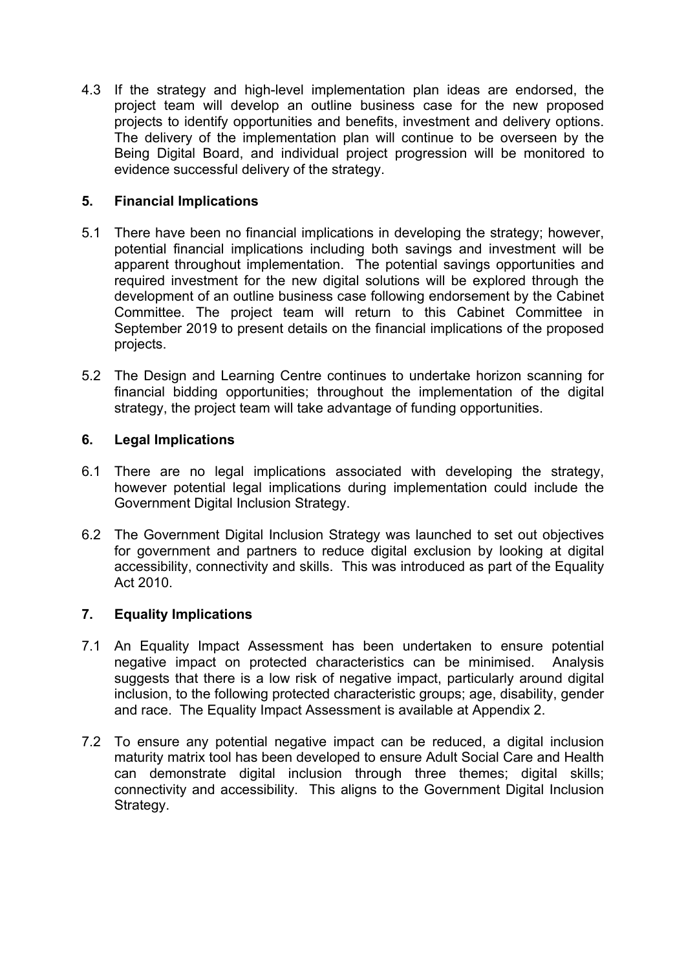4.3 If the strategy and high-level implementation plan ideas are endorsed, the project team will develop an outline business case for the new proposed projects to identify opportunities and benefits, investment and delivery options. The delivery of the implementation plan will continue to be overseen by the Being Digital Board, and individual project progression will be monitored to evidence successful delivery of the strategy.

## **5. Financial Implications**

- 5.1 There have been no financial implications in developing the strategy; however, potential financial implications including both savings and investment will be apparent throughout implementation. The potential savings opportunities and required investment for the new digital solutions will be explored through the development of an outline business case following endorsement by the Cabinet Committee. The project team will return to this Cabinet Committee in September 2019 to present details on the financial implications of the proposed projects.
- 5.2 The Design and Learning Centre continues to undertake horizon scanning for financial bidding opportunities; throughout the implementation of the digital strategy, the project team will take advantage of funding opportunities.

# **6. Legal Implications**

- 6.1 There are no legal implications associated with developing the strategy, however potential legal implications during implementation could include the Government Digital Inclusion Strategy.
- 6.2 The Government Digital Inclusion Strategy was launched to set out objectives for government and partners to reduce digital exclusion by looking at digital accessibility, connectivity and skills. This was introduced as part of the Equality Act 2010.

# **7. Equality Implications**

- 7.1 An Equality Impact Assessment has been undertaken to ensure potential negative impact on protected characteristics can be minimised. Analysis suggests that there is a low risk of negative impact, particularly around digital inclusion, to the following protected characteristic groups; age, disability, gender and race. The Equality Impact Assessment is available at Appendix 2.
- 7.2 To ensure any potential negative impact can be reduced, a digital inclusion maturity matrix tool has been developed to ensure Adult Social Care and Health can demonstrate digital inclusion through three themes; digital skills; connectivity and accessibility. This aligns to the Government Digital Inclusion Strategy.